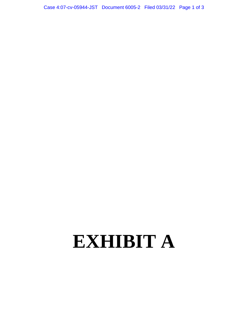## **EXHIBIT A**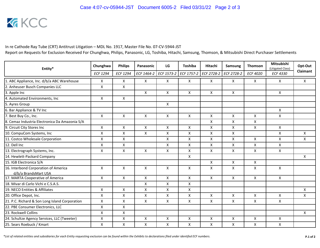

In re Cathode Ray Tube (CRT) Antitrust Litigation - MDL No. 1917, Master File No. 07-CV-5944-JST Report on Requests for Exclusion Received For Chunghwa, Philips, Panasonic, LG, Toshiba, Hitachi, Samsung, Thomson, & Mitsubishi Direct Purchaser Settlements

| Entity*                                        | Chunghwa           | <b>Philips</b>            | Panasonic    | LG                 | <b>Toshiba</b> | Hitachi                   | Samsung        | <b>Thomson</b>  | Mitsubishi<br>(Litigated Class) | Opt-Out  |
|------------------------------------------------|--------------------|---------------------------|--------------|--------------------|----------------|---------------------------|----------------|-----------------|---------------------------------|----------|
|                                                | <b>ECF 1294</b>    | <b>ECF 1294</b>           | ECF 1464-2   | ECF 1573-2         | ECF 1757-2     | ECF 2728-2                | ECF 2728-2     | <b>ECF 4020</b> | <b>ECF 4330</b>                 | Claimant |
| 1. ABC Appliance, Inc. d/b/a ABC Warehouse     | X                  | X                         | $\mathsf{X}$ | X                  | X              | X                         | X              | X               | X                               | X        |
| 2. Anheuser Busch Companies LLC                | $\mathsf{x}$       | $\mathsf{x}$              |              |                    |                |                           |                |                 |                                 |          |
| 3. Apple Inc                                   |                    |                           | X            | X                  | X              | $\boldsymbol{\mathsf{X}}$ | $\mathsf{X}$   |                 | X                               |          |
| 4. Automated Environments, Inc.                | X                  | $\mathsf{x}$              |              |                    |                |                           |                |                 |                                 |          |
| 5. Ayres Group                                 |                    |                           |              | X                  |                |                           |                |                 |                                 |          |
| 6. Bar Appliance & TV Inc                      |                    |                           |              |                    |                |                           |                |                 | X                               |          |
| 7. Best Buy Co., Inc.                          | X                  | X                         | X            | X                  | X              | X                         | $\mathsf{X}$   | X               | X                               |          |
| 8. Cemaz Industria Electronica Da Amazonia S/A |                    |                           |              |                    |                | $\mathsf{x}$              | $\mathsf{X}$   | X               |                                 |          |
| 9. Circuit City Stores Inc                     | $\mathsf{x}$       | $\mathsf{x}$              | X            | X                  | X              | X                         | X              | X               | X                               |          |
| 10. CompuCom Systems, Inc                      | $\pmb{\mathsf{X}}$ | X                         | X            | X                  | X              | X                         | $\mathsf{X}$   |                 | X                               | X        |
| 11. Costco Wholesale Corporation               | X                  | X                         |              | X                  | X              | X                         | X              | $\mathsf{x}$    | X                               | X        |
| 12. Dell Inc                                   | X                  | X                         |              | X                  | X              | X                         | X              | X               | X                               |          |
| 13. Electrograph Systems, Inc.                 | $\pmb{\times}$     | $\pmb{\mathsf{X}}$        | $\mathsf{X}$ | $\pmb{\mathsf{X}}$ | X              | $\pmb{\mathsf{X}}$        | $\pmb{\times}$ | X               | X                               |          |
| 14. Hewlett-Packard Company                    |                    |                           |              |                    | X              |                           |                |                 |                                 | X        |
| 15. IGB Electronica S/A                        |                    |                           |              |                    |                | X                         | $\mathsf{X}$   | $\mathsf{X}$    |                                 |          |
| 16. Interbond Corporation of America           | X                  | X                         | X            | X                  | X              | X                         | X              | X               | X                               |          |
| d/b/a BrandsMart USA                           |                    |                           |              |                    |                |                           |                |                 |                                 |          |
| 17. MARTA Cooperative of America               | $\pmb{\times}$     | $\mathsf{X}$              | $\mathsf{X}$ | $\mathsf{x}$       | X              | X                         | $\mathsf{X}$   | $\mathsf{X}$    | X                               |          |
| 18. Mivar di Carlo Vichi e C.S.A.S.            |                    |                           | X            | X                  | X              |                           |                |                 |                                 |          |
| 19. NECO Entities & Affiliates                 | $\mathsf{x}$       | $\boldsymbol{\mathsf{X}}$ | $\mathsf{X}$ | $\pmb{\mathsf{X}}$ | X              |                           |                |                 |                                 | X        |
| 20. Office Depot, Inc.                         | X                  | X                         | X            | $\pmb{\mathsf{X}}$ | Χ              | X                         | X              | X               | X                               | X        |
| 21. P.C. Richard & Son Long Island Corporation | $\mathsf{x}$       | $\pmb{\times}$            | X            | $\mathsf{x}$       | X              | X                         | X              | $\mathsf{X}$    | X                               |          |
| 22. PBE Consumer Electronics, LLC              | X                  | X                         |              |                    |                |                           |                |                 |                                 |          |
| 23. Rockwell Collins                           | $\pmb{\times}$     | X                         |              |                    |                |                           |                |                 |                                 | X        |
| 24. Schultze Agency Services, LLC (Tweeter)    | X                  | $\pmb{\times}$            | X            | X                  | X              | X                         | X              | X               | X                               |          |
| 25. Sears Roebuck / Kmart                      | X                  | X                         | X            | X                  | X              | X                         | X              | X               | X                               |          |